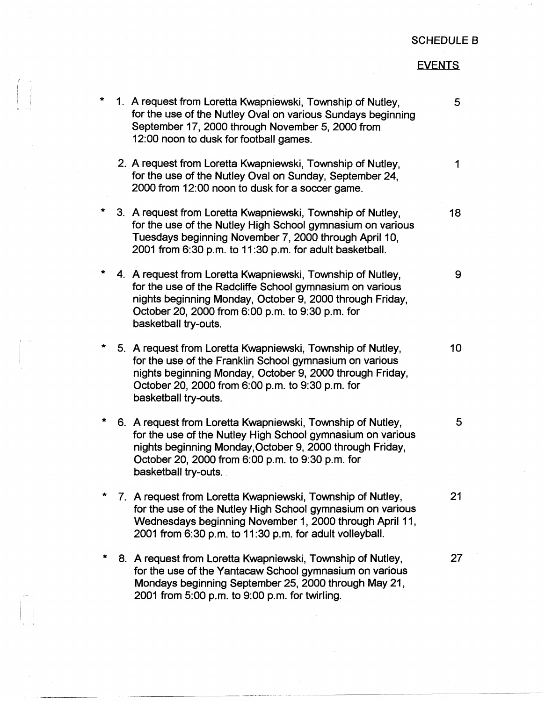## SCHEDULE 8

## EVENTS

| $\star$ | 1. A request from Loretta Kwapniewski, Township of Nutley,<br>for the use of the Nutley Oval on various Sundays beginning<br>September 17, 2000 through November 5, 2000 from<br>12:00 noon to dusk for football games.                                          | 5               |
|---------|------------------------------------------------------------------------------------------------------------------------------------------------------------------------------------------------------------------------------------------------------------------|-----------------|
|         | 2. A request from Loretta Kwapniewski, Township of Nutley,<br>for the use of the Nutley Oval on Sunday, September 24,<br>2000 from 12:00 noon to dusk for a soccer game.                                                                                         | $\mathbf 1$     |
| *       | 3. A request from Loretta Kwapniewski, Township of Nutley,<br>for the use of the Nutley High School gymnasium on various<br>Tuesdays beginning November 7, 2000 through April 10,<br>2001 from 6:30 p.m. to 11:30 p.m. for adult basketball.                     | 18              |
| *       | 4. A request from Loretta Kwapniewski, Township of Nutley,<br>for the use of the Radcliffe School gymnasium on various<br>nights beginning Monday, October 9, 2000 through Friday,<br>October 20, 2000 from 6:00 p.m. to 9:30 p.m. for<br>basketball try-outs.   | 9               |
| *       | 5. A request from Loretta Kwapniewski, Township of Nutley,<br>for the use of the Franklin School gymnasium on various<br>nights beginning Monday, October 9, 2000 through Friday,<br>October 20, 2000 from 6:00 p.m. to 9:30 p.m. for<br>basketball try-outs.    | 10 <sub>1</sub> |
| $\star$ | 6. A request from Loretta Kwapniewski, Township of Nutley,<br>for the use of the Nutley High School gymnasium on various<br>nights beginning Monday, October 9, 2000 through Friday,<br>October 20, 2000 from 6:00 p.m. to 9:30 p.m. for<br>basketball try-outs. | 5               |
|         | 7. A request from Loretta Kwapniewski, Township of Nutley,<br>for the use of the Nutley High School gymnasium on various<br>Wednesdays beginning November 1, 2000 through April 11,<br>2001 from 6:30 p.m. to 11:30 p.m. for adult volleyball.                   | 21              |
|         | 8. A request from Loretta Kwapniewski, Township of Nutley,<br>for the use of the Yantacaw School gymnasium on various<br>Mondays beginning September 25, 2000 through May 21,<br>2001 from 5:00 p.m. to 9:00 p.m. for twirling.                                  | 27              |

 $\vert \hspace{.06cm} \vert$  i

 $\vert \cdot \vert$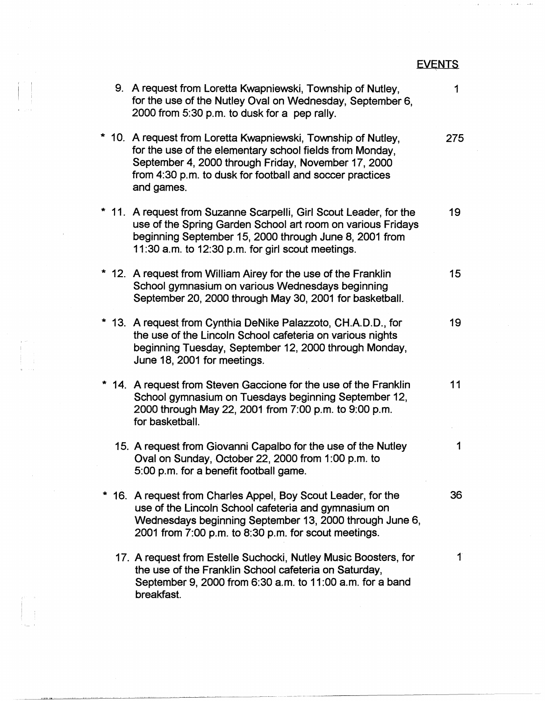|                                                                                                                                                                                                                                                            | <b>EVENTS</b>      |
|------------------------------------------------------------------------------------------------------------------------------------------------------------------------------------------------------------------------------------------------------------|--------------------|
| 9. A request from Loretta Kwapniewski, Township of Nutley,<br>for the use of the Nutley Oval on Wednesday, September 6,<br>2000 from 5:30 p.m. to dusk for a pep rally.                                                                                    | 1                  |
| * 10. A request from Loretta Kwapniewski, Township of Nutley,<br>for the use of the elementary school fields from Monday,<br>September 4, 2000 through Friday, November 17, 2000<br>from 4:30 p.m. to dusk for football and soccer practices<br>and games. | 275                |
| * 11. A request from Suzanne Scarpelli, Girl Scout Leader, for the<br>use of the Spring Garden School art room on various Fridays<br>beginning September 15, 2000 through June 8, 2001 from<br>11:30 a.m. to 12:30 p.m. for girl scout meetings.           | 19                 |
| * 12. A request from William Airey for the use of the Franklin<br>School gymnasium on various Wednesdays beginning<br>September 20, 2000 through May 30, 2001 for basketball.                                                                              | 15                 |
| 13. A request from Cynthia DeNike Palazzoto, CH.A.D.D., for<br>the use of the Lincoln School cafeteria on various nights<br>beginning Tuesday, September 12, 2000 through Monday,<br>June 18, 2001 for meetings.                                           | 19                 |
| 14. A request from Steven Gaccione for the use of the Franklin<br>School gymnasium on Tuesdays beginning September 12,<br>2000 through May 22, 2001 from 7:00 p.m. to 9:00 p.m.<br>for basketball.                                                         | 11                 |
| 15. A request from Giovanni Capalbo for the use of the Nutley<br>Oval on Sunday, October 22, 2000 from 1:00 p.m. to<br>5:00 p.m. for a benefit football game.                                                                                              | 1                  |
| 16. A request from Charles Appel, Boy Scout Leader, for the<br>use of the Lincoln School cafeteria and gymnasium on<br>Wednesdays beginning September 13, 2000 through June 6,<br>2001 from 7:00 p.m. to 8:30 p.m. for scout meetings.                     | 36                 |
| 17. A request from Estelle Suchocki, Nutley Music Boosters, for<br>the use of the Franklin School cafeteria on Saturday,<br>September 9, 2000 from 6:30 a.m. to 11:00 a.m. for a band<br>breakfast.                                                        | $\mathbf{\hat{1}}$ |

 $\sim$  8  $_\odot$ 

I 9. II<br>I 9. II 9. II 9. II 9. II 9. II 9. II 9. II 9. II 9. II 9. II 9. II 9. II 9. II 9. II 9. II 9. II 9. I<br>I 9. II 9. II 9. II 9. II 9. II 9. II 9. II 9. II 9. II 9. II 9. II 9. II 9. II 9. II 9. II 9. II 9. II 9. II

 $\mathcal{L}^{\text{max}}_{\text{max}}$ 

 $\begin{array}{l} \mathbf{z} \leftarrow \mathbf{z} \\ \mathbf{z} \\ \mathbf{z} \\ \mathbf{z} \\ \mathbf{z} \\ \mathbf{z} \\ \mathbf{z} \\ \mathbf{z} \\ \mathbf{z} \end{array}$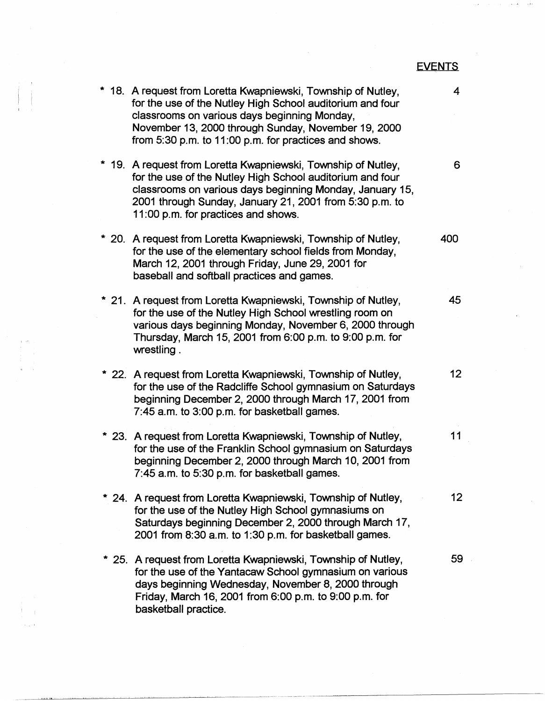|                                                                                                                                                                                                                                                                                            | <b>EVENTS</b>   |
|--------------------------------------------------------------------------------------------------------------------------------------------------------------------------------------------------------------------------------------------------------------------------------------------|-----------------|
| * 18. A request from Loretta Kwapniewski, Township of Nutley,<br>for the use of the Nutley High School auditorium and four<br>classrooms on various days beginning Monday,<br>November 13, 2000 through Sunday, November 19, 2000<br>from 5:30 p.m. to 11:00 p.m. for practices and shows. | 4               |
| * 19. A request from Loretta Kwapniewski, Township of Nutley,<br>for the use of the Nutley High School auditorium and four<br>classrooms on various days beginning Monday, January 15,<br>2001 through Sunday, January 21, 2001 from 5:30 p.m. to<br>11:00 p.m. for practices and shows.   | 6               |
| * 20. A request from Loretta Kwapniewski, Township of Nutley,<br>for the use of the elementary school fields from Monday,<br>March 12, 2001 through Friday, June 29, 2001 for<br>baseball and softball practices and games.                                                                | 400             |
| * 21. A request from Loretta Kwapniewski, Township of Nutley,<br>for the use of the Nutley High School wrestling room on<br>various days beginning Monday, November 6, 2000 through<br>Thursday, March 15, 2001 from 6:00 p.m. to 9:00 p.m. for<br>wrestling.                              | 45              |
| * 22. A request from Loretta Kwapniewski, Township of Nutley,<br>for the use of the Radcliffe School gymnasium on Saturdays<br>beginning December 2, 2000 through March 17, 2001 from<br>7:45 a.m. to 3:00 p.m. for basketball games.                                                      | 12 <sub>2</sub> |
| * 23. A request from Loretta Kwapniewski, Township of Nutley,<br>for the use of the Franklin School gymnasium on Saturdays<br>beginning December 2, 2000 through March 10, 2001 from<br>7:45 a.m. to 5:30 p.m. for basketball games.                                                       | 11              |
| * 24. A request from Loretta Kwapniewski, Township of Nutley,<br>for the use of the Nutley High School gymnasiums on<br>Saturdays beginning December 2, 2000 through March 17,<br>2001 from 8:30 a.m. to 1:30 p.m. for basketball games.                                                   | 12 <sub>1</sub> |
| 25. A request from Loretta Kwapniewski, Township of Nutley,<br>for the use of the Yantacaw School gymnasium on various<br>days beginning Wednesday, November 8, 2000 through<br>Friday, March 16, 2001 from 6:00 p.m. to 9:00 p.m. for<br>basketball practice.                             | 59              |

i<br>Gundên

 $\mathbf{A}$  and  $\mathbf{B}$ a chit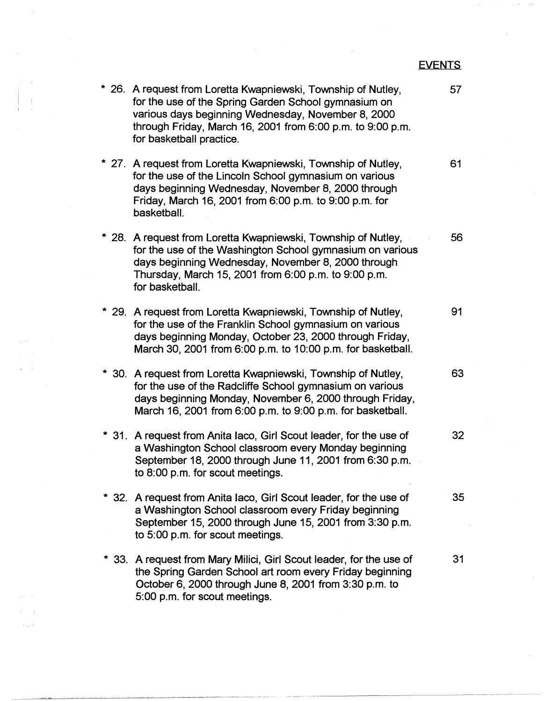**EVENTS** 

\* 26. A request from Loretta Kwapniewski, Township of Nutley, 57 for the use of the Spring Garden School gymnasium on various days beginning Wednesday, November 8, 2000 through Friday, March 16, 2001 from 6:00 p.m. to 9:00 p.m. for basketball practice. \* 27. A request from Loretta Kwapniewski, Township of Nutley, 61 for the use of the Lincoln School gymnasium on various days beginning Wednesday, November 8, 2000 through Friday, March 16, 2001 from 6:00 p.m. to 9:00 p.m. for basketball. \* 28. A request from Loretta Kwapniewski, Township of Nutley, 56 for the use of the Washington School gymnasium on various days beginning Wednesday, November 8, 2000 through Thursday, March 15, 2001 from 6:00 p.m. to 9:00 p.m. for basketball. \* 29. A request from Loretta Kwapniewski, Township of Nutley, 91 for the use of the Franklin School gymnasium on various days beginning Monday, October 23, 2000 through Friday, March 30, 2001 from 6:00 p.m. to 10:00 p.m. for basketball. \* 30. A request from Loretta Kwapniewski, Township of Nutley, **63**  for the use of the Radcliffe School gymnasium on various days beginning Monday, November 6, 2000 through Friday, March 16, 2001 from 6:00 p.m. to 9:00 p.m. for basketball. \* 31. A request from Anita laco, Girl Scout leader, for the use of **32**  a Washington School classroom every Monday beginning September 18, 2000 through June 11, 2001 from 6:30 p.m. to 8:00 p.m. for scout meetings. \* **32.** A request from Anita lace, Girl Scout leader, for the use of **35**  a Washington School classroom every Friday beginning September 15, 2000 through June 15, 2001 from 3:30 p.m. to 5:00 p.m. for scout meetings. \* 33. A request from Mary Milici, Girl Scout leader, for the use of 31 the Spring Garden School art room every Friday beginning October 6, 2000 through June 8, 2001 from 3:30 p.m. to 5:00 p.m. for scout meetings.